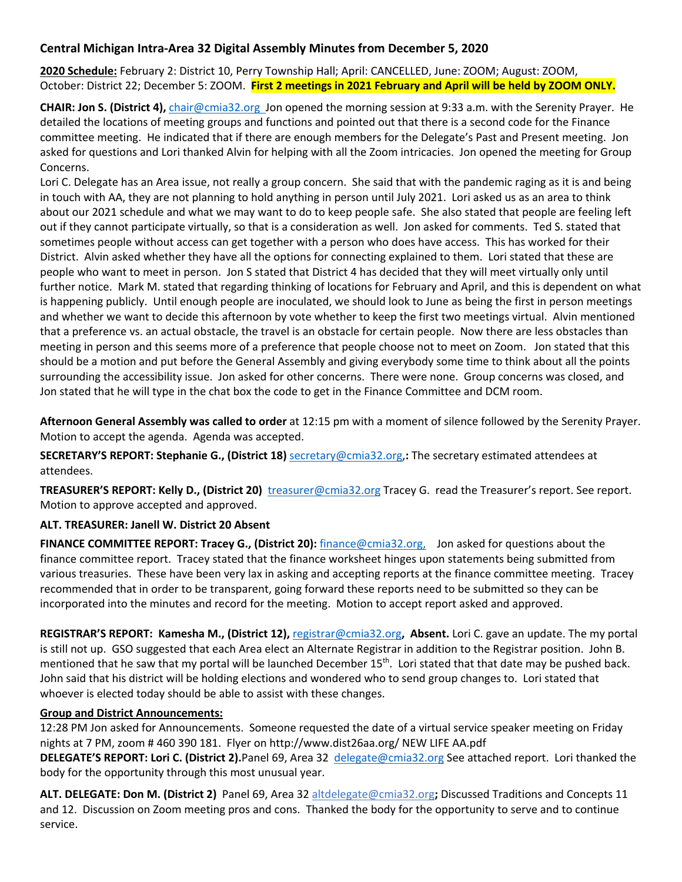## **Central Michigan Intra-Area 32 Digital Assembly Minutes from December 5, 2020**

**2020 Schedule:** February 2: District 10, Perry Township Hall; April: CANCELLED, June: ZOOM; August: ZOOM, October: District 22; December 5: ZOOM. **First 2 meetings in 2021 February and April will be held by ZOOM ONLY.**

**CHAIR: Jon S. (District 4),** chair@cmia32.org Jon opened the morning session at 9:33 a.m. with the Serenity Prayer. He detailed the locations of meeting groups and functions and pointed out that there is a second code for the Finance committee meeting. He indicated that if there are enough members for the Delegate's Past and Present meeting. Jon asked for questions and Lori thanked Alvin for helping with all the Zoom intricacies. Jon opened the meeting for Group Concerns.

Lori C. Delegate has an Area issue, not really a group concern. She said that with the pandemic raging as it is and being in touch with AA, they are not planning to hold anything in person until July 2021. Lori asked us as an area to think about our 2021 schedule and what we may want to do to keep people safe. She also stated that people are feeling left out if they cannot participate virtually, so that is a consideration as well. Jon asked for comments. Ted S. stated that sometimes people without access can get together with a person who does have access. This has worked for their District. Alvin asked whether they have all the options for connecting explained to them. Lori stated that these are people who want to meet in person. Jon S stated that District 4 has decided that they will meet virtually only until further notice. Mark M. stated that regarding thinking of locations for February and April, and this is dependent on what is happening publicly. Until enough people are inoculated, we should look to June as being the first in person meetings and whether we want to decide this afternoon by vote whether to keep the first two meetings virtual. Alvin mentioned that a preference vs. an actual obstacle, the travel is an obstacle for certain people. Now there are less obstacles than meeting in person and this seems more of a preference that people choose not to meet on Zoom. Jon stated that this should be a motion and put before the General Assembly and giving everybody some time to think about all the points surrounding the accessibility issue. Jon asked for other concerns. There were none. Group concerns was closed, and Jon stated that he will type in the chat box the code to get in the Finance Committee and DCM room.

**Afternoon General Assembly was called to order** at 12:15 pm with a moment of silence followed by the Serenity Prayer. Motion to accept the agenda. Agenda was accepted.

**SECRETARY'S REPORT: Stephanie G., (District 18)** secretary@cmia32.org,**:** The secretary estimated attendees at attendees.

**TREASURER'S REPORT: Kelly D., (District 20)** treasurer@cmia32.org Tracey G. read the Treasurer's report. See report. Motion to approve accepted and approved.

## **ALT. TREASURER: Janell W. District 20 Absent**

**FINANCE COMMITTEE REPORT: Tracey G., (District 20):** finance@cmia32.org,Jon asked for questions about the finance committee report. Tracey stated that the finance worksheet hinges upon statements being submitted from various treasuries. These have been very lax in asking and accepting reports at the finance committee meeting. Tracey recommended that in order to be transparent, going forward these reports need to be submitted so they can be incorporated into the minutes and record for the meeting. Motion to accept report asked and approved.

**REGISTRAR'S REPORT: Kamesha M., (District 12),** registrar@cmia32.org**, Absent.** Lori C. gave an update. The my portal is still not up. GSO suggested that each Area elect an Alternate Registrar in addition to the Registrar position. John B. mentioned that he saw that my portal will be launched December  $15<sup>th</sup>$ . Lori stated that that date may be pushed back. John said that his district will be holding elections and wondered who to send group changes to. Lori stated that whoever is elected today should be able to assist with these changes.

## **Group and District Announcements:**

12:28 PM Jon asked for Announcements. Someone requested the date of a virtual service speaker meeting on Friday nights at 7 PM, zoom # 460 390 181. Flyer on http://www.dist26aa.org/ NEW LIFE AA.pdf **DELEGATE'S REPORT: Lori C. (District 2).**Panel 69, Area 32 delegate@cmia32.org See attached report. Lori thanked the body for the opportunity through this most unusual year.

**ALT. DELEGATE: Don M. (District 2)** Panel 69, Area 32 altdelegate@cmia32.org**;** Discussed Traditions and Concepts 11 and 12. Discussion on Zoom meeting pros and cons. Thanked the body for the opportunity to serve and to continue service.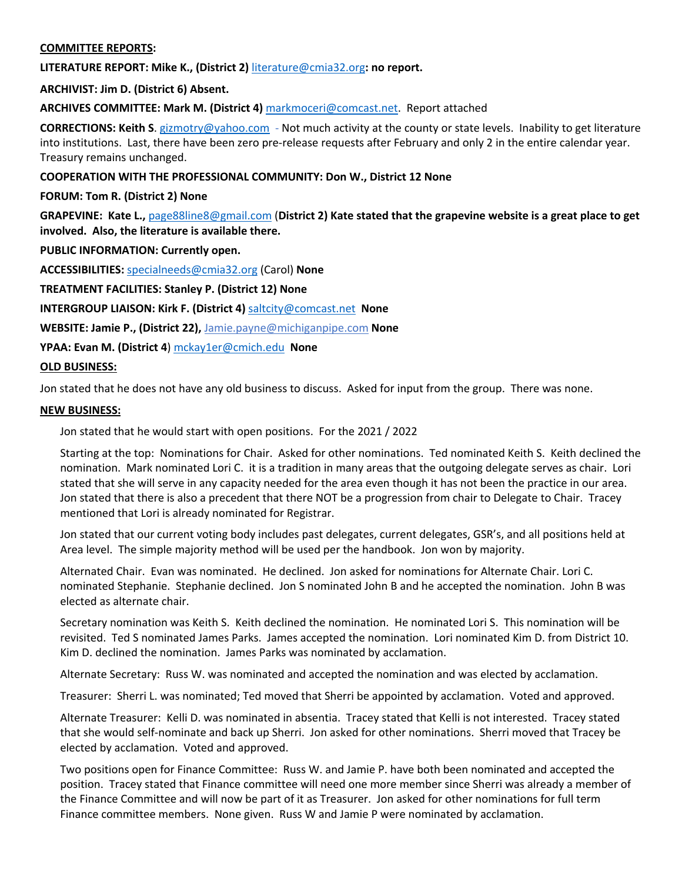#### **COMMITTEE REPORTS:**

**LITERATURE REPORT: Mike K., (District 2)** literature@cmia32.org**: no report.**

**ARCHIVIST: Jim D. (District 6) Absent.**

**ARCHIVES COMMITTEE: Mark M. (District 4)** markmoceri@comcast.net. Report attached

**CORRECTIONS: Keith S**. gizmotry@yahoo.com - Not much activity at the county or state levels. Inability to get literature into institutions. Last, there have been zero pre-release requests after February and only 2 in the entire calendar year. Treasury remains unchanged.

#### **COOPERATION WITH THE PROFESSIONAL COMMUNITY: Don W., District 12 None**

**FORUM: Tom R. (District 2) None**

**GRAPEVINE: Kate L.,** page88line8@gmail.com (**District 2) Kate stated that the grapevine website is a great place to get involved. Also, the literature is available there.**

**PUBLIC INFORMATION: Currently open.**

**ACCESSIBILITIES:** specialneeds@cmia32.org (Carol) **None**

**TREATMENT FACILITIES: Stanley P. (District 12) None**

**INTERGROUP LIAISON: Kirk F. (District 4)** saltcity@comcast.net **None**

**WEBSITE: Jamie P., (District 22),** Jamie.payne@michiganpipe.com **None**

**YPAA: Evan M. (District 4**) mckay1er@cmich.edu **None**

#### **OLD BUSINESS:**

Jon stated that he does not have any old business to discuss. Asked for input from the group. There was none.

#### **NEW BUSINESS:**

Jon stated that he would start with open positions. For the 2021 / 2022

Starting at the top: Nominations for Chair. Asked for other nominations. Ted nominated Keith S. Keith declined the nomination. Mark nominated Lori C. it is a tradition in many areas that the outgoing delegate serves as chair. Lori stated that she will serve in any capacity needed for the area even though it has not been the practice in our area. Jon stated that there is also a precedent that there NOT be a progression from chair to Delegate to Chair. Tracey mentioned that Lori is already nominated for Registrar.

Jon stated that our current voting body includes past delegates, current delegates, GSR's, and all positions held at Area level. The simple majority method will be used per the handbook. Jon won by majority.

Alternated Chair. Evan was nominated. He declined. Jon asked for nominations for Alternate Chair. Lori C. nominated Stephanie. Stephanie declined. Jon S nominated John B and he accepted the nomination. John B was elected as alternate chair.

Secretary nomination was Keith S. Keith declined the nomination. He nominated Lori S. This nomination will be revisited. Ted S nominated James Parks. James accepted the nomination. Lori nominated Kim D. from District 10. Kim D. declined the nomination. James Parks was nominated by acclamation.

Alternate Secretary: Russ W. was nominated and accepted the nomination and was elected by acclamation.

Treasurer: Sherri L. was nominated; Ted moved that Sherri be appointed by acclamation. Voted and approved.

Alternate Treasurer: Kelli D. was nominated in absentia. Tracey stated that Kelli is not interested. Tracey stated that she would self-nominate and back up Sherri. Jon asked for other nominations. Sherri moved that Tracey be elected by acclamation. Voted and approved.

Two positions open for Finance Committee: Russ W. and Jamie P. have both been nominated and accepted the position. Tracey stated that Finance committee will need one more member since Sherri was already a member of the Finance Committee and will now be part of it as Treasurer. Jon asked for other nominations for full term Finance committee members. None given. Russ W and Jamie P were nominated by acclamation.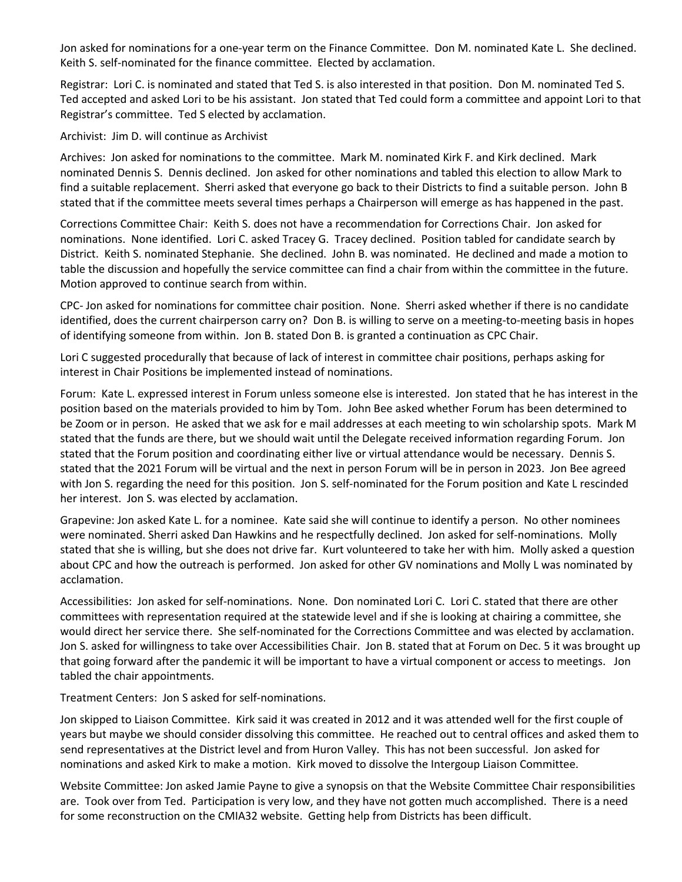Jon asked for nominations for a one-year term on the Finance Committee. Don M. nominated Kate L. She declined. Keith S. self-nominated for the finance committee. Elected by acclamation.

Registrar: Lori C. is nominated and stated that Ted S. is also interested in that position. Don M. nominated Ted S. Ted accepted and asked Lori to be his assistant. Jon stated that Ted could form a committee and appoint Lori to that Registrar's committee. Ted S elected by acclamation.

Archivist: Jim D. will continue as Archivist

Archives: Jon asked for nominations to the committee. Mark M. nominated Kirk F. and Kirk declined. Mark nominated Dennis S. Dennis declined. Jon asked for other nominations and tabled this election to allow Mark to find a suitable replacement. Sherri asked that everyone go back to their Districts to find a suitable person. John B stated that if the committee meets several times perhaps a Chairperson will emerge as has happened in the past.

Corrections Committee Chair: Keith S. does not have a recommendation for Corrections Chair. Jon asked for nominations. None identified. Lori C. asked Tracey G. Tracey declined. Position tabled for candidate search by District. Keith S. nominated Stephanie. She declined. John B. was nominated. He declined and made a motion to table the discussion and hopefully the service committee can find a chair from within the committee in the future. Motion approved to continue search from within.

CPC- Jon asked for nominations for committee chair position. None. Sherri asked whether if there is no candidate identified, does the current chairperson carry on? Don B. is willing to serve on a meeting-to-meeting basis in hopes of identifying someone from within. Jon B. stated Don B. is granted a continuation as CPC Chair.

Lori C suggested procedurally that because of lack of interest in committee chair positions, perhaps asking for interest in Chair Positions be implemented instead of nominations.

Forum: Kate L. expressed interest in Forum unless someone else is interested. Jon stated that he has interest in the position based on the materials provided to him by Tom. John Bee asked whether Forum has been determined to be Zoom or in person. He asked that we ask for e mail addresses at each meeting to win scholarship spots. Mark M stated that the funds are there, but we should wait until the Delegate received information regarding Forum. Jon stated that the Forum position and coordinating either live or virtual attendance would be necessary. Dennis S. stated that the 2021 Forum will be virtual and the next in person Forum will be in person in 2023. Jon Bee agreed with Jon S. regarding the need for this position. Jon S. self-nominated for the Forum position and Kate L rescinded her interest. Jon S. was elected by acclamation.

Grapevine: Jon asked Kate L. for a nominee. Kate said she will continue to identify a person. No other nominees were nominated. Sherri asked Dan Hawkins and he respectfully declined. Jon asked for self-nominations. Molly stated that she is willing, but she does not drive far. Kurt volunteered to take her with him. Molly asked a question about CPC and how the outreach is performed. Jon asked for other GV nominations and Molly L was nominated by acclamation.

Accessibilities: Jon asked for self-nominations. None. Don nominated Lori C. Lori C. stated that there are other committees with representation required at the statewide level and if she is looking at chairing a committee, she would direct her service there. She self-nominated for the Corrections Committee and was elected by acclamation. Jon S. asked for willingness to take over Accessibilities Chair. Jon B. stated that at Forum on Dec. 5 it was brought up that going forward after the pandemic it will be important to have a virtual component or access to meetings. Jon tabled the chair appointments.

Treatment Centers: Jon S asked for self-nominations.

Jon skipped to Liaison Committee. Kirk said it was created in 2012 and it was attended well for the first couple of years but maybe we should consider dissolving this committee. He reached out to central offices and asked them to send representatives at the District level and from Huron Valley. This has not been successful. Jon asked for nominations and asked Kirk to make a motion. Kirk moved to dissolve the Intergoup Liaison Committee.

Website Committee: Jon asked Jamie Payne to give a synopsis on that the Website Committee Chair responsibilities are. Took over from Ted. Participation is very low, and they have not gotten much accomplished. There is a need for some reconstruction on the CMIA32 website. Getting help from Districts has been difficult.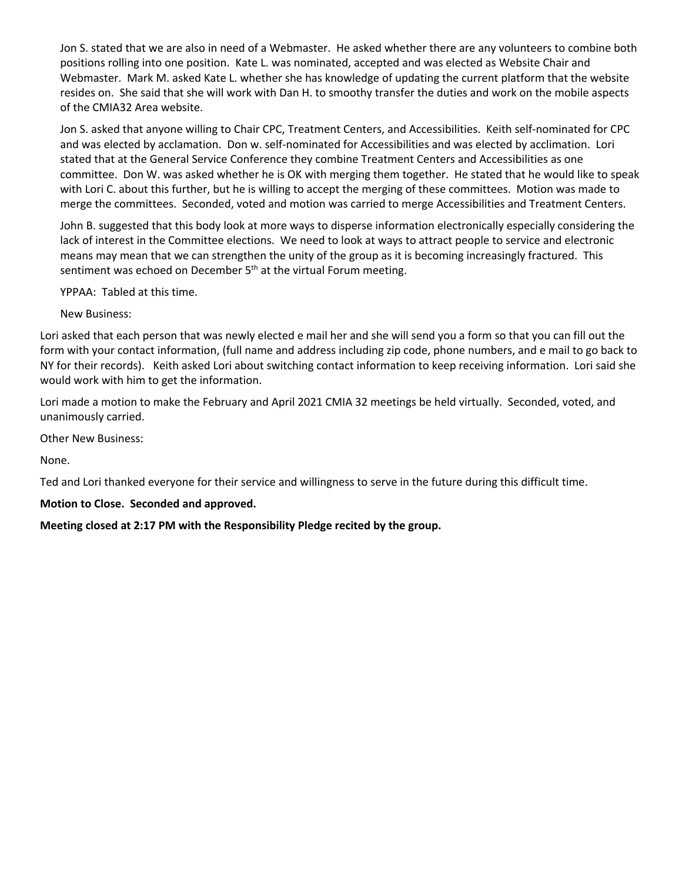Jon S. stated that we are also in need of a Webmaster. He asked whether there are any volunteers to combine both positions rolling into one position. Kate L. was nominated, accepted and was elected as Website Chair and Webmaster. Mark M. asked Kate L. whether she has knowledge of updating the current platform that the website resides on. She said that she will work with Dan H. to smoothy transfer the duties and work on the mobile aspects of the CMIA32 Area website.

Jon S. asked that anyone willing to Chair CPC, Treatment Centers, and Accessibilities. Keith self-nominated for CPC and was elected by acclamation. Don w. self-nominated for Accessibilities and was elected by acclimation. Lori stated that at the General Service Conference they combine Treatment Centers and Accessibilities as one committee. Don W. was asked whether he is OK with merging them together. He stated that he would like to speak with Lori C. about this further, but he is willing to accept the merging of these committees. Motion was made to merge the committees. Seconded, voted and motion was carried to merge Accessibilities and Treatment Centers.

John B. suggested that this body look at more ways to disperse information electronically especially considering the lack of interest in the Committee elections. We need to look at ways to attract people to service and electronic means may mean that we can strengthen the unity of the group as it is becoming increasingly fractured. This sentiment was echoed on December  $5<sup>th</sup>$  at the virtual Forum meeting.

YPPAA: Tabled at this time.

New Business:

Lori asked that each person that was newly elected e mail her and she will send you a form so that you can fill out the form with your contact information, (full name and address including zip code, phone numbers, and e mail to go back to NY for their records). Keith asked Lori about switching contact information to keep receiving information. Lori said she would work with him to get the information.

Lori made a motion to make the February and April 2021 CMIA 32 meetings be held virtually. Seconded, voted, and unanimously carried.

Other New Business:

None.

Ted and Lori thanked everyone for their service and willingness to serve in the future during this difficult time.

#### **Motion to Close. Seconded and approved.**

**Meeting closed at 2:17 PM with the Responsibility Pledge recited by the group.**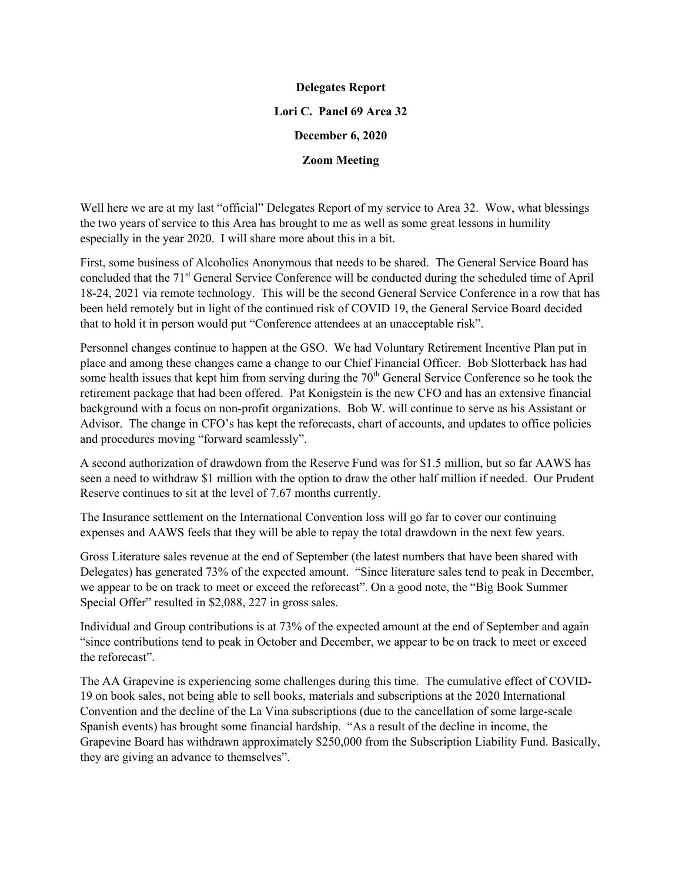# **Delegates Report Lori C. Panel 69 Area 32 December 6, 2020 Zoom Meeting**

Well here we are at my last "official" Delegates Report of my service to Area 32. Wow, what blessings the two years of service to this Area has brought to me as well as some great lessons in humility especially in the year 2020. I will share more about this in a bit.

First, some business of Alcoholics Anonymous that needs to be shared. The General Service Board has concluded that the 71<sup>st</sup> General Service Conference will be conducted during the scheduled time of April 18-24, 2021 via remote technology. This will be the second General Service Conference in a row that has been held remotely but in light of the continued risk of COVID 19, the General Service Board decided that to hold it in person would put "Conference attendees at an unacceptable risk".

Personnel changes continue to happen at the GSO. We had Voluntary Retirement Incentive Plan put in place and among these changes came a change to our Chief Financial Officer. Bob Slotterback has had some health issues that kept him from serving during the  $70<sup>th</sup>$  General Service Conference so he took the retirement package that had been offered. Pat Konigstein is the new CFO and has an extensive financial background with a focus on non-profit organizations. Bob W. will continue to serve as his Assistant or Advisor. The change in CFO's has kept the reforecasts, chart of accounts, and updates to office policies and procedures moving "forward seamlessly".

A second authorization of drawdown from the Reserve Fund was for \$1.5 million, but so far AAWS has seen a need to withdraw \$1 million with the option to draw the other half million if needed. Our Prudent Reserve continues to sit at the level of 7.67 months currently.

The Insurance settlement on the International Convention loss will go far to cover our continuing expenses and AAWS feels that they will be able to repay the total drawdown in the next few years.

Gross Literature sales revenue at the end of September (the latest numbers that have been shared with Delegates) has generated 73% of the expected amount. "Since literature sales tend to peak in December, we appear to be on track to meet or exceed the reforecast". On a good note, the "Big Book Summer Special Offer" resulted in \$2,088, 227 in gross sales.

Individual and Group contributions is at 73% of the expected amount at the end of September and again "since contributions tend to peak in October and December, we appear to be on track to meet or exceed the reforecast".

The AA Grapevine is experiencing some challenges during this time. The cumulative effect of COVID-19 on book sales, not being able to sell books, materials and subscriptions at the 2020 International Convention and the decline of the La Vina subscriptions (due to the cancellation of some large-scale Spanish events) has brought some financial hardship. "As a result of the decline in income, the Grapevine Board has withdrawn approximately \$250,000 from the Subscription Liability Fund. Basically, they are giving an advance to themselves".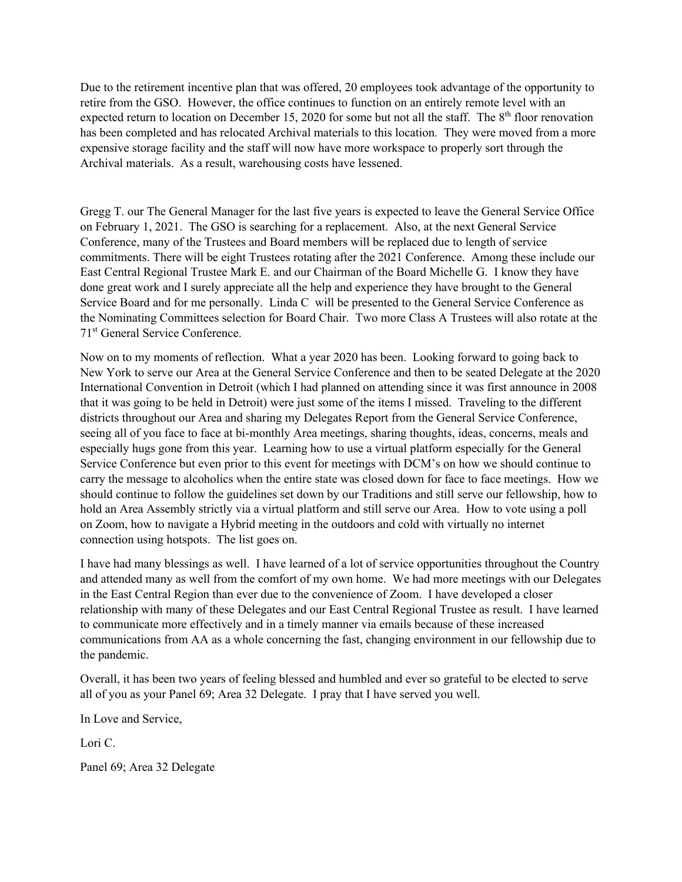Due to the retirement incentive plan that was offered, 20 employees took advantage of the opportunity to retire from the GSO. However, the office continues to function on an entirely remote level with an expected return to location on December 15, 2020 for some but not all the staff. The 8<sup>th</sup> floor renovation has been completed and has relocated Archival materials to this location. They were moved from a more expensive storage facility and the staff will now have more workspace to properly sort through the Archival materials. As a result, warehousing costs have lessened.

Gregg T. our The General Manager for the last five years is expected to leave the General Service Office on February 1, 2021. The GSO is searching for a replacement. Also, at the next General Service Conference, many of the Trustees and Board members will be replaced due to length of service commitments. There will be eight Trustees rotating after the 2021 Conference. Among these include our East Central Regional Trustee Mark E. and our Chairman of the Board Michelle G. I know they have done great work and I surely appreciate all the help and experience they have brought to the General Service Board and for me personally. Linda C will be presented to the General Service Conference as the Nominating Committees selection for Board Chair. Two more Class A Trustees will also rotate at the 71 st General Service Conference.

Now on to my moments of reflection. What a year 2020 has been. Looking forward to going back to New York to serve our Area at the General Service Conference and then to be seated Delegate at the 2020 International Convention in Detroit (which I had planned on attending since it was first announce in 2008 that it was going to be held in Detroit) were just some of the items I missed. Traveling to the different districts throughout our Area and sharing my Delegates Report from the General Service Conference, seeing all of you face to face at bi-monthly Area meetings, sharing thoughts, ideas, concerns, meals and especially hugs gone from this year. Learning how to use a virtual platform especially for the General Service Conference but even prior to this event for meetings with DCM's on how we should continue to carry the message to alcoholics when the entire state was closed down for face to face meetings. How we should continue to follow the guidelines set down by our Traditions and still serve our fellowship, how to hold an Area Assembly strictly via a virtual platform and still serve our Area. How to vote using a poll on Zoom, how to navigate a Hybrid meeting in the outdoors and cold with virtually no internet connection using hotspots. The list goes on.

I have had many blessings as well. I have learned of a lot of service opportunities throughout the Country and attended many as well from the comfort of my own home. We had more meetings with our Delegates in the East Central Region than ever due to the convenience of Zoom. I have developed a closer relationship with many of these Delegates and our East Central Regional Trustee as result. I have learned to communicate more effectively and in a timely manner via emails because of these increased communications from AA as a whole concerning the fast, changing environment in our fellowship due to the pandemic.

Overall, it has been two years of feeling blessed and humbled and ever so grateful to be elected to serve all of you as your Panel 69; Area 32 Delegate. I pray that I have served you well.

In Love and Service,

Lori C.

Panel 69; Area 32 Delegate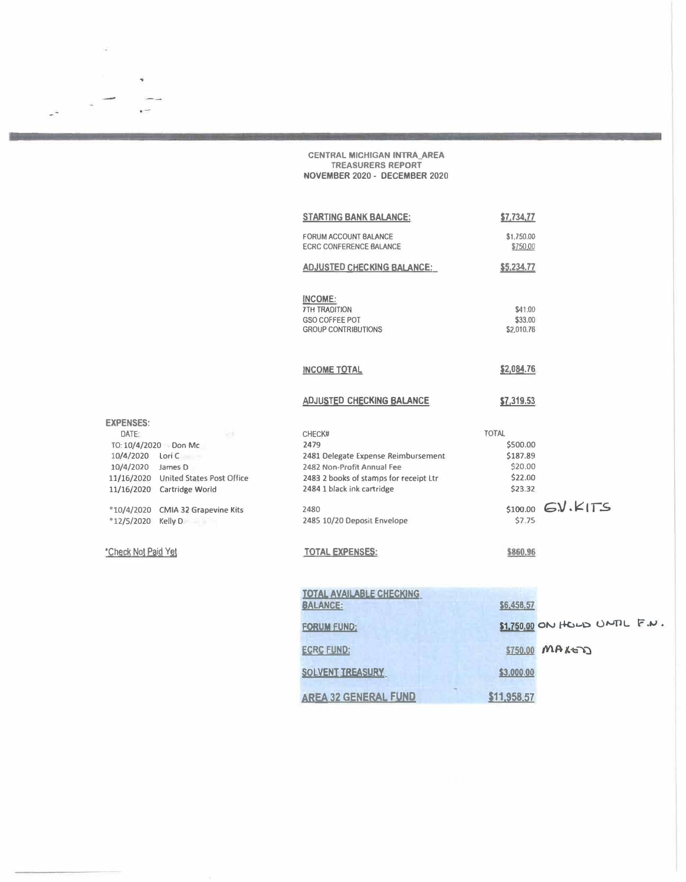**CENTRAL MICHIGAN INTRA\_AREA**  TREASURERS REPORT **NOVEMBER 2020 - DECEMBER 2020** 

**EXPENSES: DATE:** 

 $\overline{\phantom{a}}$ 

 $\overline{\phantom{a}}$ 

 $\label{eq:2.1} \begin{array}{ccccc} \mathcal{L}_{\mathcal{B}} & \mathcal{L}_{\mathcal{B}} & \mathcal{L}_{\mathcal{B}} & \mathcal{L}_{\mathcal{B}} \\ \mathcal{L}_{\mathcal{B}} & \mathcal{L}_{\mathcal{B}} & \mathcal{L}_{\mathcal{B}} & \mathcal{L}_{\mathcal{B}} \end{array} \end{array}$ 

**TO: 10/4/2020 Don Mc 10/4/2020 Lori C 10/4/2020 James O** 

**•12/S/2020 Kelly D** 

\*Check Not Paid Yet

**11/16/2020 United States Post Office 11/16/2020 Cartridge World** 

**•10/4/2020 CMIA 32 Grapevine Kits** 

| <b>STARTING BANK BALANCE:</b>                                                                                                                                                                      | \$7,734,77                                                                      |                    |
|----------------------------------------------------------------------------------------------------------------------------------------------------------------------------------------------------|---------------------------------------------------------------------------------|--------------------|
| FORUM ACCOUNT BALANCE<br><b>ECRC CONFERENCE BALANCE</b>                                                                                                                                            | \$1,750.00<br>\$750,00                                                          |                    |
| <b>ADJUSTED CHECKING BALANCE:</b>                                                                                                                                                                  | \$5,234.77                                                                      |                    |
| INCOME:<br><b>7TH TRADITION</b><br><b>GSO COFFEE POT</b><br><b>GROUP CONTRIBUTIONS</b>                                                                                                             | \$41.00<br>\$33.00<br>\$2,010.76                                                |                    |
| <b>INCOME TOTAL</b>                                                                                                                                                                                | \$2,084.76                                                                      |                    |
| <b>ADJUSTED CHECKING BALANCE</b>                                                                                                                                                                   | \$7,319.53                                                                      |                    |
| CHECK#<br>2479<br>2481 Delegate Expense Reimbursement<br>2482 Non-Profit Annual Fee<br>2483 2 books of stamps for receipt Ltr<br>2484 1 black ink cartridge<br>2480<br>2485 10/20 Deposit Envelope | <b>IATOT</b><br>\$500.00<br>\$187.89<br>\$20.00<br>\$22.00<br>\$23.32<br>\$7.75 | \$100.00 G.V. KITS |
| <b>TOTAL EXPENSES:</b>                                                                                                                                                                             | \$860,96                                                                        |                    |

| TOTAL AVAILABLE CHECKING<br><b>BALANCE:</b> | \$6,458,57     |                               |  |  |  |
|---------------------------------------------|----------------|-------------------------------|--|--|--|
| <b>FORUM FUND:</b>                          |                | \$1,750,00 ON HOLD UNTIL F.N. |  |  |  |
| <b>ECRC FUND:</b>                           | \$750.00 MAKED |                               |  |  |  |
| SOLVENT TREASURY                            | \$3,000.00     |                               |  |  |  |
| <b>AREA 32 GENERAL FUND</b>                 | \$11,958.57    |                               |  |  |  |